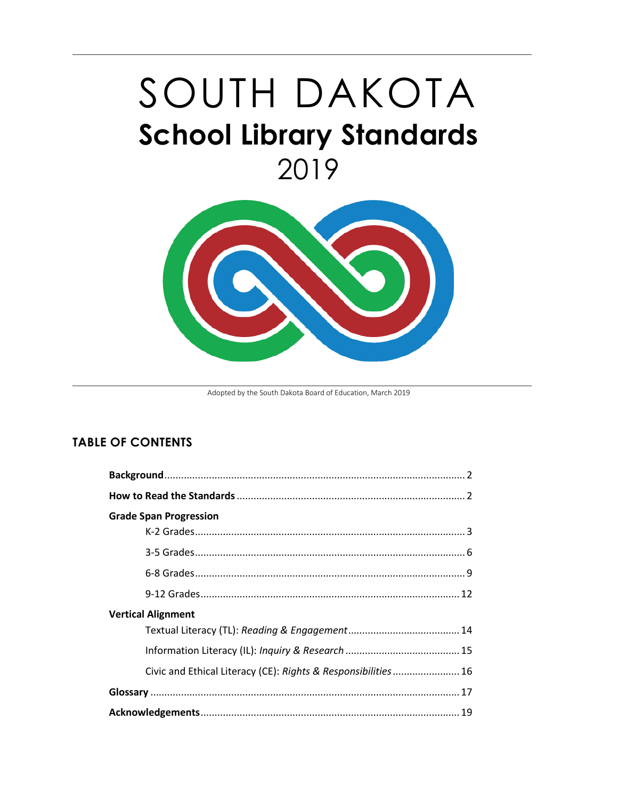# SOUTH DAKOTA **School Library Standards** 2019



Adopted by the South Dakota Board of Education, March 2019

## **TABLE OF CONTENTS**

| <b>Grade Span Progression</b>                                 |
|---------------------------------------------------------------|
|                                                               |
|                                                               |
|                                                               |
|                                                               |
| <b>Vertical Alignment</b>                                     |
|                                                               |
|                                                               |
| Civic and Ethical Literacy (CE): Rights & Responsibilities 16 |
|                                                               |
|                                                               |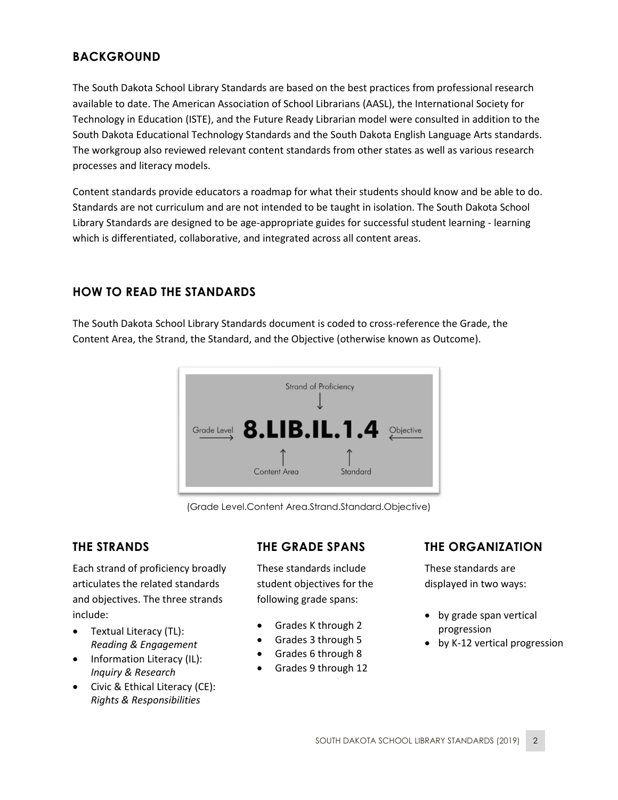# <span id="page-1-0"></span>**BACKGROUND**

The South Dakota School Library Standards are based on the best practices from professional research available to date. The American Association of School Librarians (AASL), the International Society for Technology in Education (ISTE), and the Future Ready Librarian model were consulted in addition to the South Dakota Educational Technology Standards and the South Dakota English Language Arts standards. The workgroup also reviewed relevant content standards from other states as well as various research processes and literacy models.

Content standards provide educators a roadmap for what their students should know and be able to do. Standards are not curriculum and are not intended to be taught in isolation. The South Dakota School Library Standards are designed to be age-appropriate guides for successful student learning - learning which is differentiated, collaborative, and integrated across all content areas.

### <span id="page-1-1"></span>**HOW TO READ THE STANDARDS**

The South Dakota School Library Standards document is coded to cross-reference the Grade, the Content Area, the Strand, the Standard, and the Objective (otherwise known as Outcome).



(Grade Level.Content Area.Strand.Standard.Objective)

### **THE STRANDS**

Each strand of proficiency broadly articulates the related standards and objectives. The three strands include:

- Textual Literacy (TL): *Reading & Engagement*
- Information Literacy (IL): *Inquiry & Research*
- Civic & Ethical Literacy (CE): *Rights & Responsibilities*

### **THE GRADE SPANS**

These standards include student objectives for the following grade spans:

- Grades K through 2
- Grades 3 through 5
- Grades 6 through 8
- Grades 9 through 12

### **THE ORGANIZATION**

These standards are displayed in two ways:

- by grade span vertical progression
- by K-12 vertical progression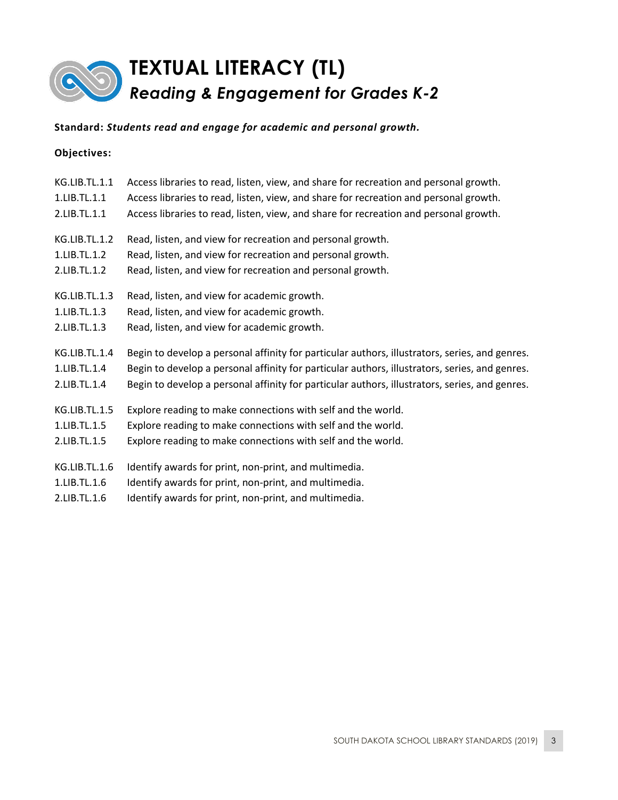

| <b>KG.LIB.TL.1.1</b> | Access libraries to read, listen, view, and share for recreation and personal growth.          |
|----------------------|------------------------------------------------------------------------------------------------|
| 1.LIB.TL.1.1         | Access libraries to read, listen, view, and share for recreation and personal growth.          |
| 2.LIB.TL.1.1         | Access libraries to read, listen, view, and share for recreation and personal growth.          |
| KG.LIB.TL.1.2        | Read, listen, and view for recreation and personal growth.                                     |
| 1.LIB.TL.1.2         | Read, listen, and view for recreation and personal growth.                                     |
| 2.LIB.TL.1.2         | Read, listen, and view for recreation and personal growth.                                     |
| KG.LIB.TL.1.3        | Read, listen, and view for academic growth.                                                    |
| 1.LIB.TL.1.3         | Read, listen, and view for academic growth.                                                    |
| 2.LIB.TL.1.3         | Read, listen, and view for academic growth.                                                    |
| KG.LIB.TL.1.4        | Begin to develop a personal affinity for particular authors, illustrators, series, and genres. |
| 1.LIB.TL.1.4         | Begin to develop a personal affinity for particular authors, illustrators, series, and genres. |
| 2.LIB.TL.1.4         | Begin to develop a personal affinity for particular authors, illustrators, series, and genres. |
| KG.LIB.TL.1.5        | Explore reading to make connections with self and the world.                                   |
| 1.LIB.TL.1.5         | Explore reading to make connections with self and the world.                                   |
| 2.LIB.TL.1.5         | Explore reading to make connections with self and the world.                                   |
| KG.LIB.TL.1.6        | Identify awards for print, non-print, and multimedia.                                          |
| 1.LIB.TL.1.6         | Identify awards for print, non-print, and multimedia.                                          |
| 2.LIB.TL.1.6         | Identify awards for print, non-print, and multimedia.                                          |
|                      |                                                                                                |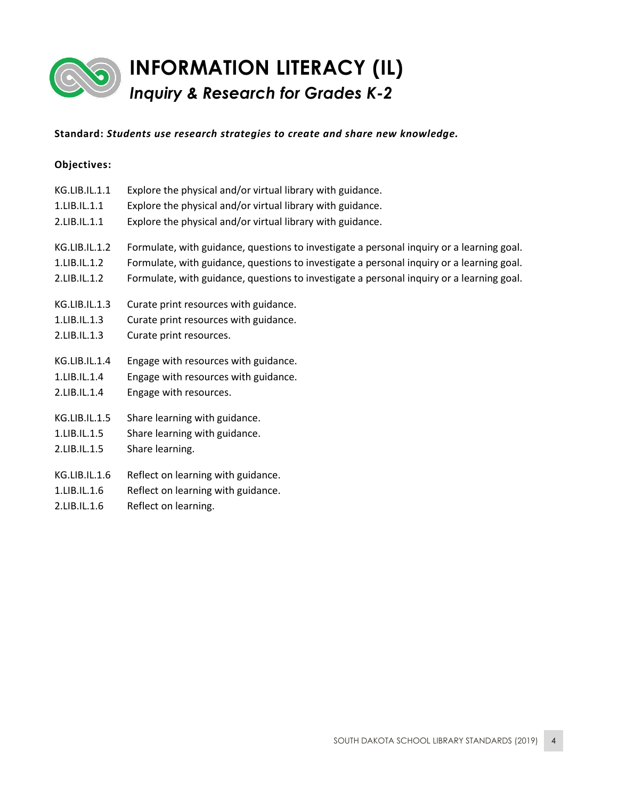

# **INFORMATION LITERACY (IL)** *Inquiry & Research for Grades K-2*

### **Standard:** *Students use research strategies to create and share new knowledge.*

### **Objectives:**

| KG.LIB.IL.1.1<br>1.LIB.IL.1.1<br>2.LIB.IL.1.1 | Explore the physical and/or virtual library with guidance.<br>Explore the physical and/or virtual library with guidance.<br>Explore the physical and/or virtual library with guidance.                                                                                              |
|-----------------------------------------------|-------------------------------------------------------------------------------------------------------------------------------------------------------------------------------------------------------------------------------------------------------------------------------------|
| KG.LIB.IL.1.2<br>1.LIB.IL.1.2<br>2.LIB.IL.1.2 | Formulate, with guidance, questions to investigate a personal inquiry or a learning goal.<br>Formulate, with guidance, questions to investigate a personal inquiry or a learning goal.<br>Formulate, with guidance, questions to investigate a personal inquiry or a learning goal. |
| KG.LIB.IL.1.3                                 | Curate print resources with guidance.                                                                                                                                                                                                                                               |
| 1.LIB.IL.1.3                                  | Curate print resources with guidance.                                                                                                                                                                                                                                               |
| 2.LIB.IL.1.3                                  | Curate print resources.                                                                                                                                                                                                                                                             |
| KG.LIB.IL.1.4                                 | Engage with resources with guidance.                                                                                                                                                                                                                                                |
| 1.LIB.IL.1.4                                  | Engage with resources with guidance.                                                                                                                                                                                                                                                |
| 2.LIB.IL.1.4                                  | Engage with resources.                                                                                                                                                                                                                                                              |
| KG.LIB.IL.1.5                                 | Share learning with guidance.                                                                                                                                                                                                                                                       |
| 1.LIB.IL.1.5                                  | Share learning with guidance.                                                                                                                                                                                                                                                       |
| 2.LIB.IL.1.5                                  | Share learning.                                                                                                                                                                                                                                                                     |
| KG.LIB.IL.1.6                                 | Reflect on learning with guidance.                                                                                                                                                                                                                                                  |
| 1.LIB.IL.1.6                                  | Reflect on learning with guidance.                                                                                                                                                                                                                                                  |

2.LIB.IL.1.6 Reflect on learning.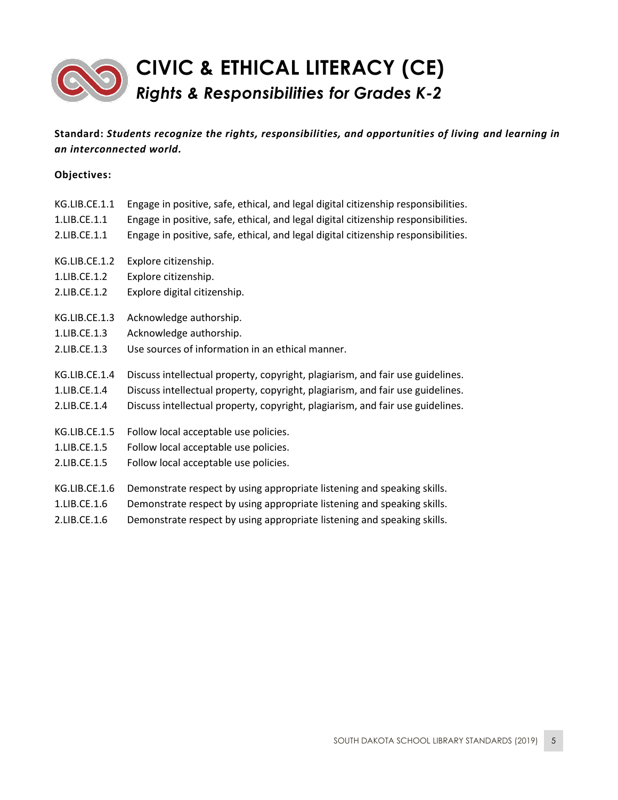

| KG.LIB.CE.1.1 | Engage in positive, safe, ethical, and legal digital citizenship responsibilities. |
|---------------|------------------------------------------------------------------------------------|
| 1.LIB.CE.1.1  | Engage in positive, safe, ethical, and legal digital citizenship responsibilities. |
| 2.LIB.CE.1.1  | Engage in positive, safe, ethical, and legal digital citizenship responsibilities. |
| KG.LIB.CE.1.2 | Explore citizenship.                                                               |
| 1.LIB.CE.1.2  | Explore citizenship.                                                               |
| 2.LIB.CE.1.2  | Explore digital citizenship.                                                       |
| KG.LIB.CE.1.3 | Acknowledge authorship.                                                            |
| 1.LIB.CE.1.3  | Acknowledge authorship.                                                            |
| 2.LIB.CE.1.3  | Use sources of information in an ethical manner.                                   |
| KG.LIB.CE.1.4 | Discuss intellectual property, copyright, plagiarism, and fair use guidelines.     |
| 1.LIB.CE.1.4  | Discuss intellectual property, copyright, plagiarism, and fair use guidelines.     |
| 2.LIB.CE.1.4  | Discuss intellectual property, copyright, plagiarism, and fair use guidelines.     |
| KG.LIB.CE.1.5 | Follow local acceptable use policies.                                              |
| 1.LIB.CE.1.5  | Follow local acceptable use policies.                                              |
| 2.LIB.CE.1.5  | Follow local acceptable use policies.                                              |
| KG.LIB.CE.1.6 | Demonstrate respect by using appropriate listening and speaking skills.            |
| 1.LIB.CE.1.6  | Demonstrate respect by using appropriate listening and speaking skills.            |
| 2.LIB.CE.1.6  | Demonstrate respect by using appropriate listening and speaking skills.            |
|               |                                                                                    |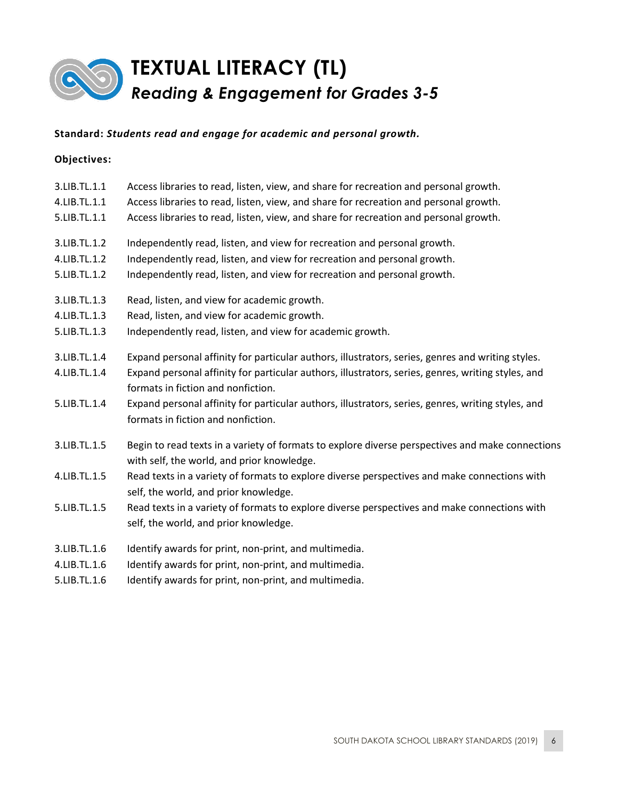

#### **Objectives:**

| 3.LIB.TL.1.1 | Access libraries to read, listen, view, and share for recreation and personal growth.                                                          |
|--------------|------------------------------------------------------------------------------------------------------------------------------------------------|
| 4.LIB.TL.1.1 | Access libraries to read, listen, view, and share for recreation and personal growth.                                                          |
| 5.LIB.TL.1.1 | Access libraries to read, listen, view, and share for recreation and personal growth.                                                          |
| 3.LIB.TL.1.2 | Independently read, listen, and view for recreation and personal growth.                                                                       |
| 4.LIB.TL.1.2 | Independently read, listen, and view for recreation and personal growth.                                                                       |
| 5.LIB.TL.1.2 | Independently read, listen, and view for recreation and personal growth.                                                                       |
| 3.LIB.TL.1.3 | Read, listen, and view for academic growth.                                                                                                    |
| 4.LIB.TL.1.3 | Read, listen, and view for academic growth.                                                                                                    |
| 5.LIB.TL.1.3 | Independently read, listen, and view for academic growth.                                                                                      |
| 3.LIB.TL.1.4 | Expand personal affinity for particular authors, illustrators, series, genres and writing styles.                                              |
| 4.LIB.TL.1.4 | Expand personal affinity for particular authors, illustrators, series, genres, writing styles, and<br>formats in fiction and nonfiction.       |
| 5.LIB.TL.1.4 | Expand personal affinity for particular authors, illustrators, series, genres, writing styles, and<br>formats in fiction and nonfiction.       |
| 3.LIB.TL.1.5 | Begin to read texts in a variety of formats to explore diverse perspectives and make connections<br>with self, the world, and prior knowledge. |
| 4.LIB.TL.1.5 | Read texts in a variety of formats to explore diverse perspectives and make connections with<br>self, the world, and prior knowledge.          |
| 5.LIB.TL.1.5 | Read texts in a variety of formats to explore diverse perspectives and make connections with<br>self, the world, and prior knowledge.          |
| 3.LIB.TL.1.6 | Identify awards for print, non-print, and multimedia.                                                                                          |
| 4.LIB.TL.1.6 | Identify awards for print, non-print, and multimedia.                                                                                          |
|              |                                                                                                                                                |

5.LIB.TL.1.6 Identify awards for print, non-print, and multimedia.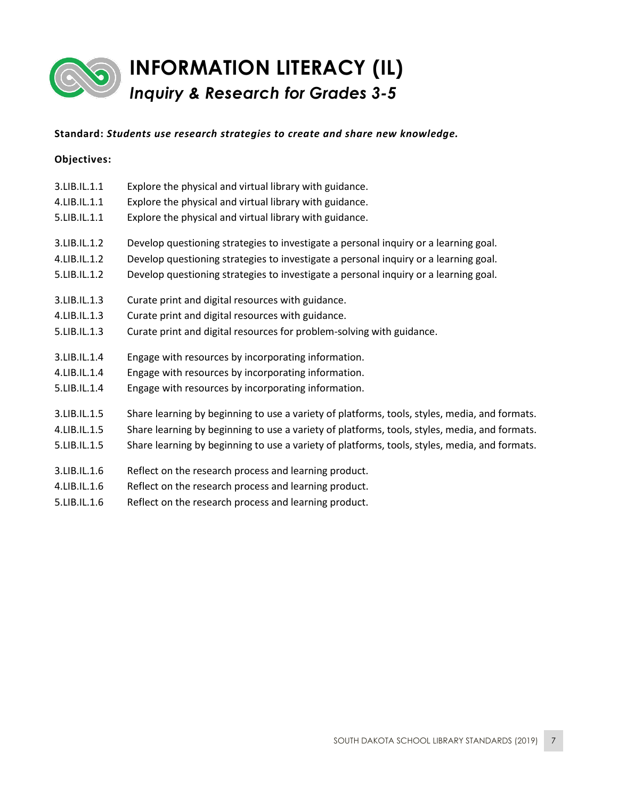

# **INFORMATION LITERACY (IL)** *Inquiry & Research for Grades 3-5*

### **Standard:** *Students use research strategies to create and share new knowledge.*

| 3.LIB.IL.1.1 | Explore the physical and virtual library with guidance.                                       |
|--------------|-----------------------------------------------------------------------------------------------|
| 4.LIB.IL.1.1 | Explore the physical and virtual library with guidance.                                       |
| 5.LIB.IL.1.1 | Explore the physical and virtual library with guidance.                                       |
| 3.LIB.IL.1.2 | Develop questioning strategies to investigate a personal inquiry or a learning goal.          |
| 4.LIB.IL.1.2 | Develop questioning strategies to investigate a personal inquiry or a learning goal.          |
| 5.LIB.IL.1.2 | Develop questioning strategies to investigate a personal inquiry or a learning goal.          |
| 3.LIB.IL.1.3 | Curate print and digital resources with guidance.                                             |
| 4.LIB.IL.1.3 | Curate print and digital resources with guidance.                                             |
| 5.LIB.IL.1.3 | Curate print and digital resources for problem-solving with guidance.                         |
| 3.LIB.IL.1.4 | Engage with resources by incorporating information.                                           |
| 4.LIB.IL.1.4 | Engage with resources by incorporating information.                                           |
| 5.LIB.IL.1.4 | Engage with resources by incorporating information.                                           |
| 3.LIB.IL.1.5 | Share learning by beginning to use a variety of platforms, tools, styles, media, and formats. |
| 4.LIB.IL.1.5 | Share learning by beginning to use a variety of platforms, tools, styles, media, and formats. |
| 5.LIB.IL.1.5 | Share learning by beginning to use a variety of platforms, tools, styles, media, and formats. |

- 3.LIB.IL.1.6 Reflect on the research process and learning product.
- 4.LIB.IL.1.6 Reflect on the research process and learning product.
- 5.LIB.IL.1.6 Reflect on the research process and learning product.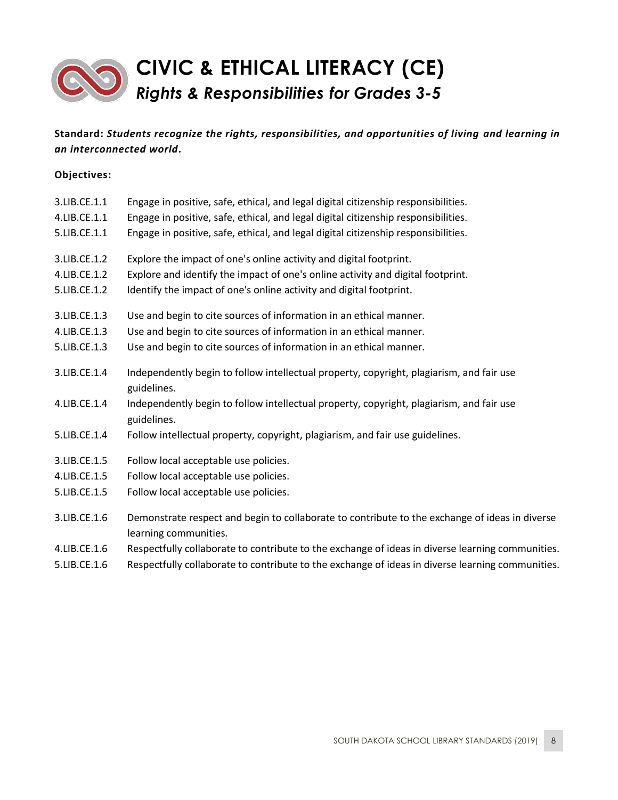

| 3.LIB.CE.1.1 | Engage in positive, safe, ethical, and legal digital citizenship responsibilities.                                      |
|--------------|-------------------------------------------------------------------------------------------------------------------------|
| 4.LIB.CE.1.1 | Engage in positive, safe, ethical, and legal digital citizenship responsibilities.                                      |
| 5.LIB.CE.1.1 | Engage in positive, safe, ethical, and legal digital citizenship responsibilities.                                      |
| 3.LIB.CE.1.2 | Explore the impact of one's online activity and digital footprint.                                                      |
| 4.LIB.CE.1.2 | Explore and identify the impact of one's online activity and digital footprint.                                         |
| 5.LIB.CE.1.2 | Identify the impact of one's online activity and digital footprint.                                                     |
| 3.LIB.CE.1.3 | Use and begin to cite sources of information in an ethical manner.                                                      |
| 4.LIB.CE.1.3 | Use and begin to cite sources of information in an ethical manner.                                                      |
| 5.LIB.CE.1.3 | Use and begin to cite sources of information in an ethical manner.                                                      |
| 3.LIB.CE.1.4 | Independently begin to follow intellectual property, copyright, plagiarism, and fair use<br>guidelines.                 |
| 4.LIB.CE.1.4 | Independently begin to follow intellectual property, copyright, plagiarism, and fair use<br>guidelines.                 |
| 5.LIB.CE.1.4 | Follow intellectual property, copyright, plagiarism, and fair use guidelines.                                           |
| 3.LIB.CE.1.5 | Follow local acceptable use policies.                                                                                   |
| 4.LIB.CE.1.5 | Follow local acceptable use policies.                                                                                   |
| 5.LIB.CE.1.5 | Follow local acceptable use policies.                                                                                   |
| 3.LIB.CE.1.6 | Demonstrate respect and begin to collaborate to contribute to the exchange of ideas in diverse<br>learning communities. |
| 4.LIB.CE.1.6 | Respectfully collaborate to contribute to the exchange of ideas in diverse learning communities.                        |
| 5.LIB.CE.1.6 | Respectfully collaborate to contribute to the exchange of ideas in diverse learning communities.                        |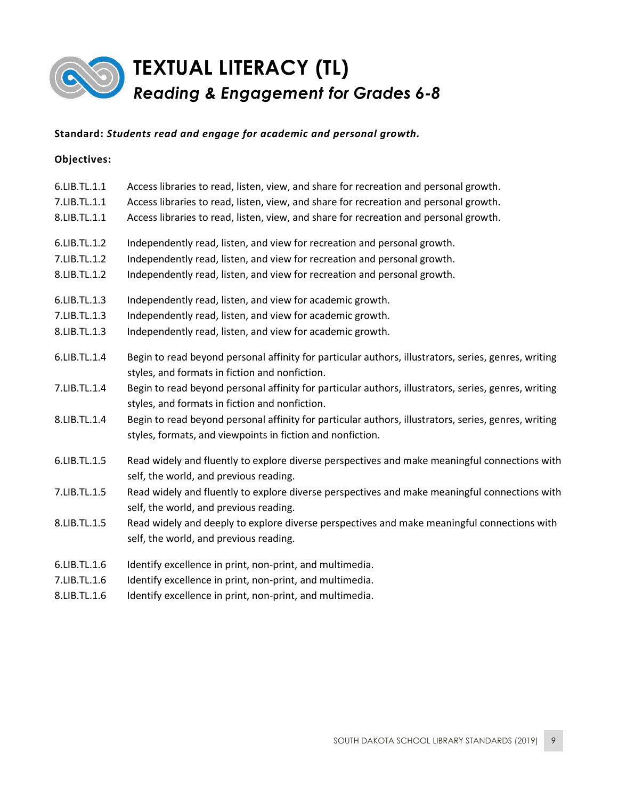

### **Objectives:**

| 6.LIB.TL.1.1 | Access libraries to read, listen, view, and share for recreation and personal growth.                                                                              |
|--------------|--------------------------------------------------------------------------------------------------------------------------------------------------------------------|
| 7.LIB.TL.1.1 | Access libraries to read, listen, view, and share for recreation and personal growth.                                                                              |
| 8.LIB.TL.1.1 | Access libraries to read, listen, view, and share for recreation and personal growth.                                                                              |
| 6.LIB.TL.1.2 | Independently read, listen, and view for recreation and personal growth.                                                                                           |
| 7.LIB.TL.1.2 | Independently read, listen, and view for recreation and personal growth.                                                                                           |
| 8.LIB.TL.1.2 | Independently read, listen, and view for recreation and personal growth.                                                                                           |
| 6.LIB.TL.1.3 | Independently read, listen, and view for academic growth.                                                                                                          |
| 7.LIB.TL.1.3 | Independently read, listen, and view for academic growth.                                                                                                          |
| 8.LIB.TL.1.3 | Independently read, listen, and view for academic growth.                                                                                                          |
| 6.LIB.TL.1.4 | Begin to read beyond personal affinity for particular authors, illustrators, series, genres, writing<br>styles, and formats in fiction and nonfiction.             |
| 7.LIB.TL.1.4 | Begin to read beyond personal affinity for particular authors, illustrators, series, genres, writing<br>styles, and formats in fiction and nonfiction.             |
| 8.LIB.TL.1.4 | Begin to read beyond personal affinity for particular authors, illustrators, series, genres, writing<br>styles, formats, and viewpoints in fiction and nonfiction. |
| 6.LIB.TL.1.5 | Read widely and fluently to explore diverse perspectives and make meaningful connections with<br>self, the world, and previous reading.                            |
| 7.LIB.TL.1.5 | Read widely and fluently to explore diverse perspectives and make meaningful connections with<br>self, the world, and previous reading.                            |
| 8.LIB.TL.1.5 | Read widely and deeply to explore diverse perspectives and make meaningful connections with<br>self, the world, and previous reading.                              |
| 6.LIB.TL.1.6 | Identify excellence in print, non-print, and multimedia.                                                                                                           |
| 7.LIB.TL.1.6 | Identify excellence in print, non-print, and multimedia.                                                                                                           |

8.LIB.TL.1.6 Identify excellence in print, non-print, and multimedia.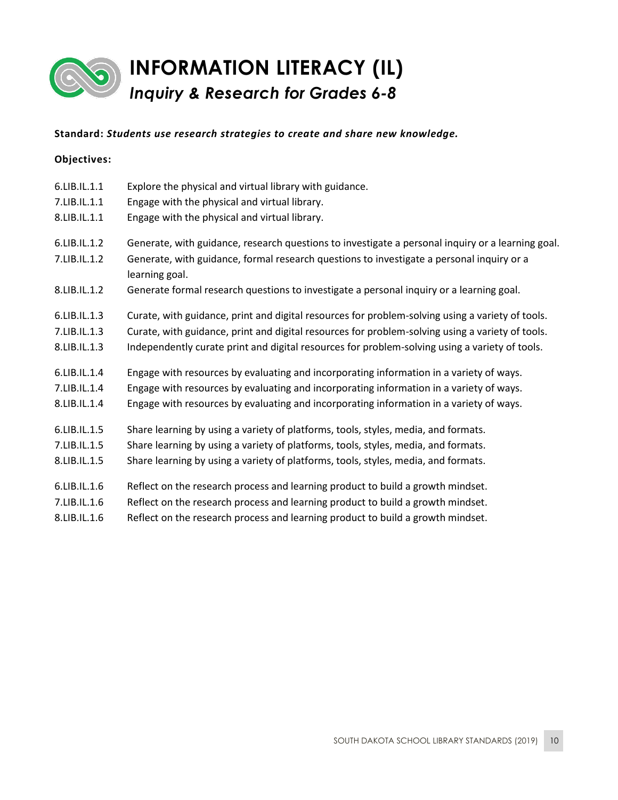

# **INFORMATION LITERACY (IL)** *Inquiry & Research for Grades 6-8*

### **Standard:** *Students use research strategies to create and share new knowledge.*

| 6.LIB.IL.1.1 | Explore the physical and virtual library with guidance.                                                     |
|--------------|-------------------------------------------------------------------------------------------------------------|
| 7.LIB.IL.1.1 | Engage with the physical and virtual library.                                                               |
| 8.LIB.IL.1.1 | Engage with the physical and virtual library.                                                               |
| 6.LIB.IL.1.2 | Generate, with guidance, research questions to investigate a personal inquiry or a learning goal.           |
| 7.LIB.IL.1.2 | Generate, with guidance, formal research questions to investigate a personal inquiry or a<br>learning goal. |
| 8.LIB.IL.1.2 | Generate formal research questions to investigate a personal inquiry or a learning goal.                    |
| 6.LIB.IL.1.3 | Curate, with guidance, print and digital resources for problem-solving using a variety of tools.            |
| 7.LIB.IL.1.3 | Curate, with guidance, print and digital resources for problem-solving using a variety of tools.            |
| 8.LIB.IL.1.3 | Independently curate print and digital resources for problem-solving using a variety of tools.              |
| 6.LIB.IL.1.4 | Engage with resources by evaluating and incorporating information in a variety of ways.                     |
| 7.LIB.IL.1.4 | Engage with resources by evaluating and incorporating information in a variety of ways.                     |
| 8.LIB.IL.1.4 | Engage with resources by evaluating and incorporating information in a variety of ways.                     |
| 6.LIB.IL.1.5 | Share learning by using a variety of platforms, tools, styles, media, and formats.                          |
| 7.LIB.IL.1.5 | Share learning by using a variety of platforms, tools, styles, media, and formats.                          |
| 8.LIB.IL.1.5 | Share learning by using a variety of platforms, tools, styles, media, and formats.                          |
| 6.LIB.IL.1.6 | Reflect on the research process and learning product to build a growth mindset.                             |
| 7.LIB.IL.1.6 | Reflect on the research process and learning product to build a growth mindset.                             |
| 8.LIB.IL.1.6 | Reflect on the research process and learning product to build a growth mindset.                             |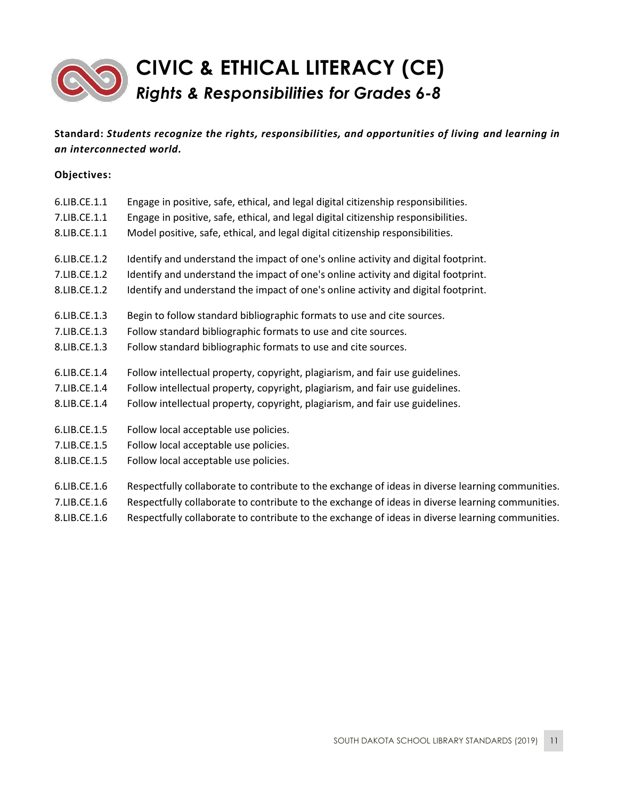

| 6.LIB.CE.1.1<br>7.LIB.CE.1.1<br>8.LIB.CE.1.1 | Engage in positive, safe, ethical, and legal digital citizenship responsibilities.<br>Engage in positive, safe, ethical, and legal digital citizenship responsibilities.<br>Model positive, safe, ethical, and legal digital citizenship responsibilities. |
|----------------------------------------------|------------------------------------------------------------------------------------------------------------------------------------------------------------------------------------------------------------------------------------------------------------|
| 6.LIB.CE.1.2                                 | Identify and understand the impact of one's online activity and digital footprint.                                                                                                                                                                         |
| 7.LIB.CE.1.2                                 | Identify and understand the impact of one's online activity and digital footprint.                                                                                                                                                                         |
| 8.LIB.CE.1.2                                 | Identify and understand the impact of one's online activity and digital footprint.                                                                                                                                                                         |
| 6.LIB.CE.1.3                                 | Begin to follow standard bibliographic formats to use and cite sources.                                                                                                                                                                                    |
| 7.LIB.CE.1.3                                 | Follow standard bibliographic formats to use and cite sources.                                                                                                                                                                                             |
| 8.LIB.CE.1.3                                 | Follow standard bibliographic formats to use and cite sources.                                                                                                                                                                                             |
| 6.LIB.CE.1.4                                 | Follow intellectual property, copyright, plagiarism, and fair use guidelines.                                                                                                                                                                              |
| 7.LIB.CE.1.4                                 | Follow intellectual property, copyright, plagiarism, and fair use guidelines.                                                                                                                                                                              |
| 8.LIB.CE.1.4                                 | Follow intellectual property, copyright, plagiarism, and fair use guidelines.                                                                                                                                                                              |
| 6.LIB.CE.1.5                                 | Follow local acceptable use policies.                                                                                                                                                                                                                      |
| 7.LIB.CE.1.5                                 | Follow local acceptable use policies.                                                                                                                                                                                                                      |
| 8.LIB.CE.1.5                                 | Follow local acceptable use policies.                                                                                                                                                                                                                      |
| 6.LIB.CE.1.6                                 | Respectfully collaborate to contribute to the exchange of ideas in diverse learning communities.                                                                                                                                                           |
| $7 \cup D$ C $1 C$                           | Becoeffully collaborate to contribute to the exchange of ideas in diverse learning communities.                                                                                                                                                            |

- 7.LIB.CE.1.6 Respectfully collaborate to contribute to the exchange of ideas in diverse learning communities.
- 8.LIB.CE.1.6 Respectfully collaborate to contribute to the exchange of ideas in diverse learning communities.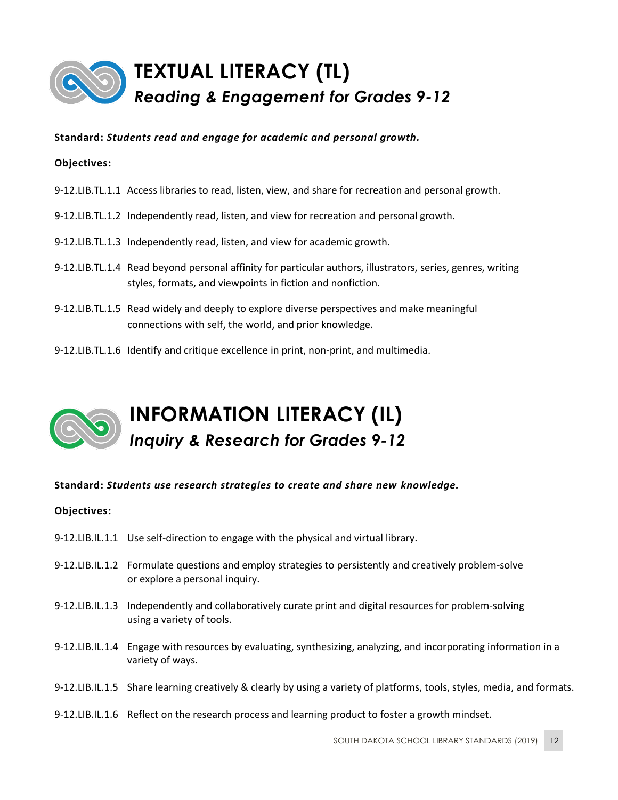<span id="page-11-0"></span>

**Objectives:**

- 9-12.LIB.TL.1.1 Access libraries to read, listen, view, and share for recreation and personal growth.
- 9-12.LIB.TL.1.2 Independently read, listen, and view for recreation and personal growth.
- 9-12.LIB.TL.1.3 Independently read, listen, and view for academic growth.
- 9-12.LIB.TL.1.4 Read beyond personal affinity for particular authors, illustrators, series, genres, writing styles, formats, and viewpoints in fiction and nonfiction.
- 9-12.LIB.TL.1.5 Read widely and deeply to explore diverse perspectives and make meaningful connections with self, the world, and prior knowledge.
- 9-12.LIB.TL.1.6 Identify and critique excellence in print, non-print, and multimedia.

# **INFORMATION LITERACY (IL)** *Inquiry & Research for Grades 9-12*

### **Standard:** *Students use research strategies to create and share new knowledge.*

- 9-12.LIB.IL.1.1 Use self-direction to engage with the physical and virtual library.
- 9-12.LIB.IL.1.2 Formulate questions and employ strategies to persistently and creatively problem-solve or explore a personal inquiry.
- 9-12.LIB.IL.1.3 Independently and collaboratively curate print and digital resources for problem-solving using a variety of tools.
- 9-12.LIB.IL.1.4 Engage with resources by evaluating, synthesizing, analyzing, and incorporating information in a variety of ways.
- 9-12.LIB.IL.1.5 Share learning creatively & clearly by using a variety of platforms, tools, styles, media, and formats.
- 9-12.LIB.IL.1.6 Reflect on the research process and learning product to foster a growth mindset.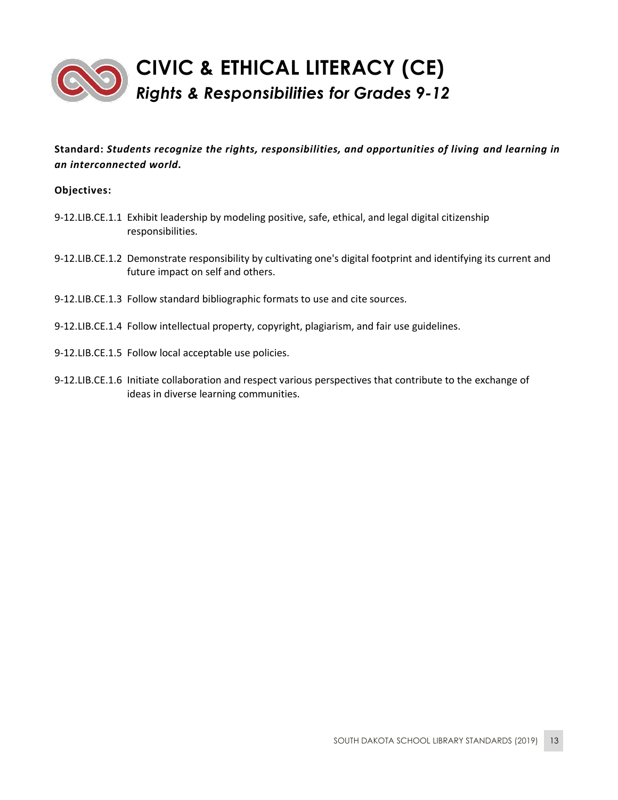

- 9-12.LIB.CE.1.1 Exhibit leadership by modeling positive, safe, ethical, and legal digital citizenship responsibilities.
- 9-12.LIB.CE.1.2 Demonstrate responsibility by cultivating one's digital footprint and identifying its current and future impact on self and others.
- 9-12.LIB.CE.1.3 Follow standard bibliographic formats to use and cite sources.
- 9-12.LIB.CE.1.4 Follow intellectual property, copyright, plagiarism, and fair use guidelines.
- 9-12.LIB.CE.1.5 Follow local acceptable use policies.
- 9-12.LIB.CE.1.6 Initiate collaboration and respect various perspectives that contribute to the exchange of ideas in diverse learning communities.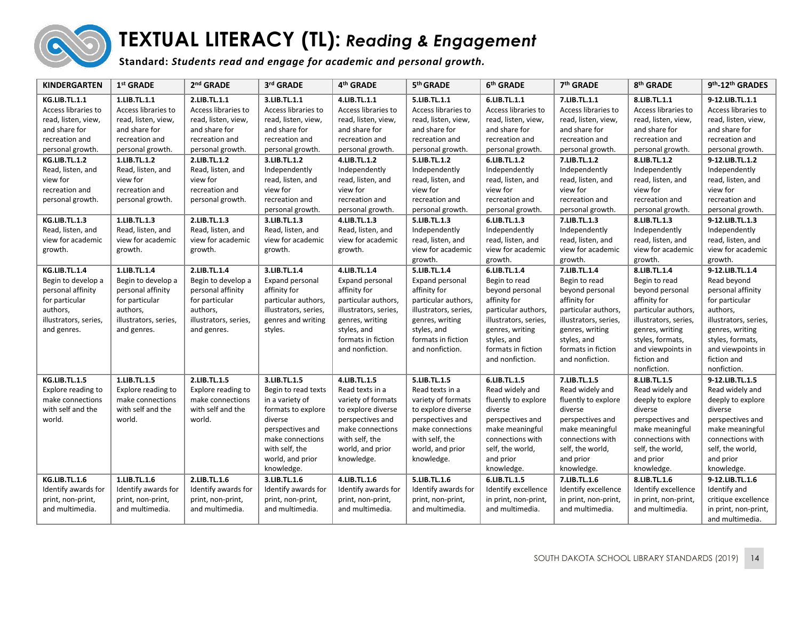

# **TEXTUAL LITERACY (TL):** *Reading & Engagement*

**Standard:** *Students read and engage for academic and personal growth.*

<span id="page-13-0"></span>

| <b>KINDERGARTEN</b>                                                                                                                                                                                                      | 1 <sup>st</sup> GRADE                                                                                                                                                                                    | 2 <sup>nd</sup> GRADE                                                                                                                                                                                    | 3rd GRADE                                                                                                                                                                                                                 | 4 <sup>th</sup> GRADE                                                                                                                                                                                                     | 5th GRADE                                                                                                                                                                                                                 | 6th GRADE                                                                                                                                                                                                                 | 7 <sup>th</sup> GRADE                                                                                                                                                                                                     | 8th GRADE                                                                                                                                                                                                                 | 9th <sub>-12th</sub> GRADES                                                                                                                                                                                                     |
|--------------------------------------------------------------------------------------------------------------------------------------------------------------------------------------------------------------------------|----------------------------------------------------------------------------------------------------------------------------------------------------------------------------------------------------------|----------------------------------------------------------------------------------------------------------------------------------------------------------------------------------------------------------|---------------------------------------------------------------------------------------------------------------------------------------------------------------------------------------------------------------------------|---------------------------------------------------------------------------------------------------------------------------------------------------------------------------------------------------------------------------|---------------------------------------------------------------------------------------------------------------------------------------------------------------------------------------------------------------------------|---------------------------------------------------------------------------------------------------------------------------------------------------------------------------------------------------------------------------|---------------------------------------------------------------------------------------------------------------------------------------------------------------------------------------------------------------------------|---------------------------------------------------------------------------------------------------------------------------------------------------------------------------------------------------------------------------|---------------------------------------------------------------------------------------------------------------------------------------------------------------------------------------------------------------------------------|
| <b>KG.LIB.TL.1.1</b><br>Access libraries to<br>read, listen, view,<br>and share for<br>recreation and<br>personal growth.<br><b>KG.LIB.TL.1.2</b><br>Read, listen, and<br>view for<br>recreation and<br>personal growth. | 1.LIB.TL.1.1<br>Access libraries to<br>read, listen, view,<br>and share for<br>recreation and<br>personal growth.<br>1.LIB.TL.1.2<br>Read, listen, and<br>view for<br>recreation and<br>personal growth. | 2.LIB.TL.1.1<br>Access libraries to<br>read, listen, view,<br>and share for<br>recreation and<br>personal growth.<br>2.LIB.TL.1.2<br>Read, listen, and<br>view for<br>recreation and<br>personal growth. | 3.LIB.TL.1.1<br>Access libraries to<br>read, listen, view,<br>and share for<br>recreation and<br>personal growth.<br>3.LIB.TL.1.2<br>Independently<br>read, listen, and<br>view for<br>recreation and<br>personal growth. | 4.LIB.TL.1.1<br>Access libraries to<br>read, listen, view,<br>and share for<br>recreation and<br>personal growth.<br>4.LIB.TL.1.2<br>Independently<br>read, listen, and<br>view for<br>recreation and<br>personal growth. | 5.LIB.TL.1.1<br>Access libraries to<br>read, listen, view,<br>and share for<br>recreation and<br>personal growth.<br>5.LIB.TL.1.2<br>Independently<br>read, listen, and<br>view for<br>recreation and<br>personal growth. | 6.LIB.TL.1.1<br>Access libraries to<br>read, listen, view,<br>and share for<br>recreation and<br>personal growth.<br>6.LIB.TL.1.2<br>Independently<br>read, listen, and<br>view for<br>recreation and<br>personal growth. | 7.LIB.TL.1.1<br>Access libraries to<br>read, listen, view,<br>and share for<br>recreation and<br>personal growth.<br>7.LIB.TL.1.2<br>Independently<br>read, listen, and<br>view for<br>recreation and<br>personal growth. | 8.LIB.TL.1.1<br>Access libraries to<br>read, listen, view,<br>and share for<br>recreation and<br>personal growth.<br>8.LIB.TL.1.2<br>Independently<br>read, listen, and<br>view for<br>recreation and<br>personal growth. | 9-12.LIB.TL.1.1<br>Access libraries to<br>read, listen, view,<br>and share for<br>recreation and<br>personal growth.<br>9-12.LIB.TL.1.2<br>Independently<br>read, listen, and<br>view for<br>recreation and<br>personal growth. |
| <b>KG.LIB.TL.1.3</b><br>Read, listen, and<br>view for academic<br>growth.                                                                                                                                                | 1.LIB.TL.1.3<br>Read, listen, and<br>view for academic<br>growth.                                                                                                                                        | 2.LIB.TL.1.3<br>Read, listen, and<br>view for academic<br>growth.                                                                                                                                        | 3.LIB.TL.1.3<br>Read, listen, and<br>view for academic<br>growth.                                                                                                                                                         | 4.LIB.TL.1.3<br>Read, listen, and<br>view for academic<br>growth.                                                                                                                                                         | 5.LIB.TL.1.3<br>Independently<br>read, listen, and<br>view for academic<br>growth.                                                                                                                                        | 6.LIB.TL.1.3<br>Independently<br>read, listen, and<br>view for academic<br>growth.                                                                                                                                        | 7.LIB.TL.1.3<br>Independently<br>read, listen, and<br>view for academic<br>growth.                                                                                                                                        | 8.LIB.TL.1.3<br>Independently<br>read, listen, and<br>view for academic<br>growth.                                                                                                                                        | 9-12.LIB.TL.1.3<br>Independently<br>read, listen, and<br>view for academic<br>growth.                                                                                                                                           |
| <b>KG.LIB.TL.1.4</b><br>Begin to develop a<br>personal affinity<br>for particular<br>authors,<br>illustrators, series,<br>and genres.                                                                                    | 1.LIB.TL.1.4<br>Begin to develop a<br>personal affinity<br>for particular<br>authors,<br>illustrators, series,<br>and genres.                                                                            | 2.LIB.TL.1.4<br>Begin to develop a<br>personal affinity<br>for particular<br>authors,<br>illustrators, series,<br>and genres.                                                                            | 3.LIB.TL.1.4<br>Expand personal<br>affinity for<br>particular authors,<br>illustrators, series,<br>genres and writing<br>styles.                                                                                          | 4.LIB.TL.1.4<br>Expand personal<br>affinity for<br>particular authors,<br>illustrators, series,<br>genres, writing<br>styles, and<br>formats in fiction<br>and nonfiction.                                                | 5.LIB.TL.1.4<br>Expand personal<br>affinity for<br>particular authors,<br>illustrators, series,<br>genres, writing<br>styles, and<br>formats in fiction<br>and nonfiction.                                                | 6.LIB.TL.1.4<br>Begin to read<br>beyond personal<br>affinity for<br>particular authors,<br>illustrators, series,<br>genres, writing<br>styles, and<br>formats in fiction<br>and nonfiction.                               | 7.LIB.TL.1.4<br>Begin to read<br>beyond personal<br>affinity for<br>particular authors,<br>illustrators, series,<br>genres, writing<br>styles, and<br>formats in fiction<br>and nonfiction.                               | 8.LIB.TL.1.4<br>Begin to read<br>beyond personal<br>affinity for<br>particular authors,<br>illustrators, series,<br>genres, writing<br>styles, formats,<br>and viewpoints in<br>fiction and<br>nonfiction.                | 9-12.LIB.TL.1.4<br>Read beyond<br>personal affinity<br>for particular<br>authors,<br>illustrators, series,<br>genres, writing<br>styles, formats,<br>and viewpoints in<br>fiction and<br>nonfiction.                            |
| <b>KG.LIB.TL.1.5</b><br>Explore reading to<br>make connections<br>with self and the<br>world.                                                                                                                            | 1.LIB.TL.1.5<br>Explore reading to<br>make connections<br>with self and the<br>world.                                                                                                                    | 2.LIB.TL.1.5<br>Explore reading to<br>make connections<br>with self and the<br>world.                                                                                                                    | 3.LIB.TL.1.5<br>Begin to read texts<br>in a variety of<br>formats to explore<br>diverse<br>perspectives and<br>make connections<br>with self, the<br>world, and prior<br>knowledge.                                       | 4.LIB.TL.1.5<br>Read texts in a<br>variety of formats<br>to explore diverse<br>perspectives and<br>make connections<br>with self, the<br>world, and prior<br>knowledge.                                                   | 5.LIB.TL.1.5<br>Read texts in a<br>variety of formats<br>to explore diverse<br>perspectives and<br>make connections<br>with self, the<br>world, and prior<br>knowledge.                                                   | 6.LIB.TL.1.5<br>Read widely and<br>fluently to explore<br>diverse<br>perspectives and<br>make meaningful<br>connections with<br>self, the world,<br>and prior<br>knowledge.                                               | 7.LIB.TL.1.5<br>Read widely and<br>fluently to explore<br>diverse<br>perspectives and<br>make meaningful<br>connections with<br>self, the world,<br>and prior<br>knowledge.                                               | 8.LIB.TL.1.5<br>Read widely and<br>deeply to explore<br>diverse<br>perspectives and<br>make meaningful<br>connections with<br>self, the world,<br>and prior<br>knowledge.                                                 | 9-12.LIB.TL.1.5<br>Read widely and<br>deeply to explore<br>diverse<br>perspectives and<br>make meaningful<br>connections with<br>self, the world,<br>and prior<br>knowledge.                                                    |
| <b>KG.LIB.TL.1.6</b><br>Identify awards for<br>print, non-print,<br>and multimedia.                                                                                                                                      | 1.LIB.TL.1.6<br>Identify awards for<br>print, non-print,<br>and multimedia.                                                                                                                              | 2.LIB.TL.1.6<br>Identify awards for<br>print, non-print,<br>and multimedia.                                                                                                                              | 3.LIB.TL.1.6<br>Identify awards for<br>print, non-print,<br>and multimedia.                                                                                                                                               | 4.LIB.TL.1.6<br>Identify awards for<br>print, non-print,<br>and multimedia.                                                                                                                                               | 5.LIB.TL.1.6<br>Identify awards for<br>print, non-print,<br>and multimedia.                                                                                                                                               | 6.LIB.TL.1.5<br>Identify excellence<br>in print, non-print,<br>and multimedia.                                                                                                                                            | 7.LIB.TL.1.6<br>Identify excellence<br>in print, non-print,<br>and multimedia.                                                                                                                                            | 8.LIB.TL.1.6<br>Identify excellence<br>in print, non-print,<br>and multimedia.                                                                                                                                            | 9-12.LIB.TL.1.6<br>Identify and<br>critique excellence<br>in print, non-print,<br>and multimedia.                                                                                                                               |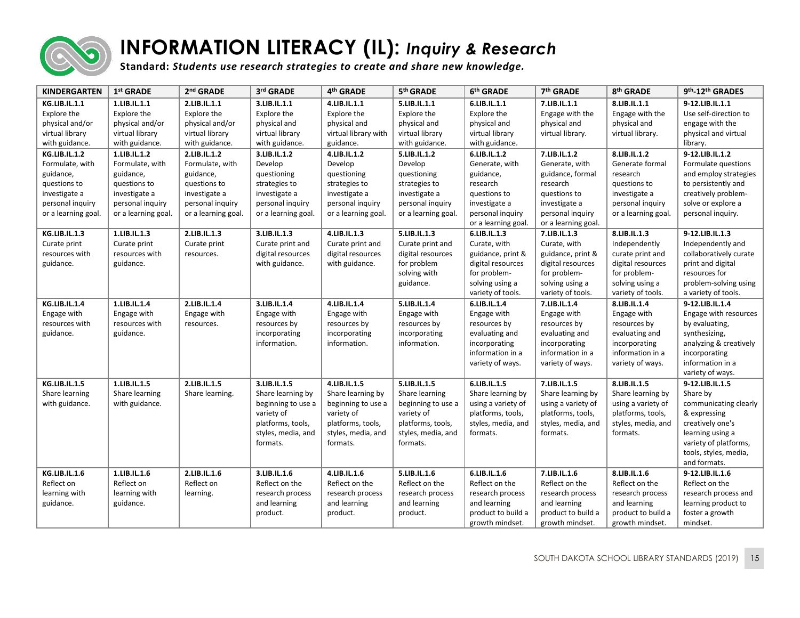

# **INFORMATION LITERACY (IL):** *Inquiry & Research*

**Standard:** *Students use research strategies to create and share new knowledge.*

<span id="page-14-0"></span>

| <b>KINDERGARTEN</b>  | 1 <sup>st</sup> GRADE | 2 <sup>nd</sup> GRADE | 3rd GRADE           | 4th GRADE            | 5 <sup>th</sup> GRADE | 6th GRADE           | 7th GRADE           | 8th GRADE           | 9th-12th GRADES        |
|----------------------|-----------------------|-----------------------|---------------------|----------------------|-----------------------|---------------------|---------------------|---------------------|------------------------|
| <b>KG.LIB.IL.1.1</b> | 1.LIB.IL.1.1          | 2.LIB.IL.1.1          | 3.LIB.IL.1.1        | 4.LIB.IL.1.1         | 5.LIB.IL.1.1          | 6.LIB.IL.1.1        | 7.LIB.IL.1.1        | 8.LIB.IL.1.1        | 9-12.LIB.IL.1.1        |
| Explore the          | Explore the           | Explore the           | Explore the         | Explore the          | Explore the           | Explore the         | Engage with the     | Engage with the     | Use self-direction to  |
| physical and/or      | physical and/or       | physical and/or       | physical and        | physical and         | physical and          | physical and        | physical and        | physical and        | engage with the        |
| virtual library      | virtual library       | virtual library       | virtual library     | virtual library with | virtual library       | virtual library     | virtual library.    | virtual library.    | physical and virtual   |
| with guidance.       | with guidance.        | with guidance.        | with guidance.      | guidance.            | with guidance.        | with guidance.      |                     |                     | library.               |
| <b>KG.LIB.IL.1.2</b> | 1.LIB.IL.1.2          | 2.LIB.IL.1.2          | 3.LIB.IL.1.2        | 4.LIB.IL.1.2         | 5.LIB.IL.1.2          | 6.LIB.IL.1.2        | 7.LIB.IL.1.2        | 8.LIB.IL.1.2        | 9-12.LIB.IL.1.2        |
| Formulate, with      | Formulate, with       | Formulate, with       | Develop             | Develop              | Develop               | Generate, with      | Generate, with      | Generate formal     | Formulate questions    |
| guidance,            | guidance,             | guidance,             | questioning         | questioning          | questioning           | guidance,           | guidance, formal    | research            | and employ strategies  |
| questions to         | questions to          | questions to          | strategies to       | strategies to        | strategies to         | research            | research            | questions to        | to persistently and    |
| investigate a        | investigate a         | investigate a         | investigate a       | investigate a        | investigate a         | questions to        | questions to        | investigate a       | creatively problem-    |
| personal inquiry     | personal inquiry      | personal inquiry      | personal inquiry    | personal inquiry     | personal inquiry      | investigate a       | investigate a       | personal inquiry    | solve or explore a     |
| or a learning goal.  | or a learning goal.   | or a learning goal.   | or a learning goal. | or a learning goal.  | or a learning goal.   | personal inquiry    | personal inquiry    | or a learning goal. | personal inquiry.      |
|                      |                       |                       |                     |                      |                       | or a learning goal. | or a learning goal. |                     |                        |
| <b>KG.LIB.IL.1.3</b> | 1.LIB.IL.1.3          | 2.LIB.IL.1.3          | 3.LIB.IL.1.3        | 4.LIB.IL.1.3         | 5.LIB.IL.1.3          | 6.LIB.IL.1.3        | 7.LIB.IL.1.3        | 8.LIB.IL.1.3        | 9-12.LIB.IL.1.3        |
| Curate print         | Curate print          | Curate print          | Curate print and    | Curate print and     | Curate print and      | Curate, with        | Curate, with        | Independently       | Independently and      |
| resources with       | resources with        | resources.            | digital resources   | digital resources    | digital resources     | guidance, print &   | guidance, print &   | curate print and    | collaboratively curate |
| guidance.            | guidance.             |                       | with guidance.      | with guidance.       | for problem           | digital resources   | digital resources   | digital resources   | print and digital      |
|                      |                       |                       |                     |                      | solving with          | for problem-        | for problem-        | for problem-        | resources for          |
|                      |                       |                       |                     |                      | guidance.             | solving using a     | solving using a     | solving using a     | problem-solving using  |
|                      |                       |                       |                     |                      |                       | variety of tools.   | variety of tools.   | variety of tools.   | a variety of tools.    |
| <b>KG.LIB.IL.1.4</b> | 1.LIB.IL.1.4          | 2.LIB.IL.1.4          | 3.LIB.IL.1.4        | 4.LIB.IL.1.4         | 5.LIB.IL.1.4          | 6.LIB.IL.1.4        | 7.LIB.IL.1.4        | 8.LIB.IL.1.4        | 9-12.LIB.IL.1.4        |
| Engage with          | Engage with           | Engage with           | Engage with         | Engage with          | Engage with           | Engage with         | Engage with         | Engage with         | Engage with resources  |
| resources with       | resources with        | resources.            | resources by        | resources by         | resources by          | resources by        | resources by        | resources by        | by evaluating,         |
| guidance.            | guidance.             |                       | incorporating       | incorporating        | incorporating         | evaluating and      | evaluating and      | evaluating and      | synthesizing,          |
|                      |                       |                       | information.        | information.         | information.          | incorporating       | incorporating       | incorporating       | analyzing & creatively |
|                      |                       |                       |                     |                      |                       | information in a    | information in a    | information in a    | incorporating          |
|                      |                       |                       |                     |                      |                       | variety of ways.    | variety of ways.    | variety of ways.    | information in a       |
|                      |                       |                       |                     |                      |                       |                     |                     |                     | variety of ways.       |
| <b>KG.LIB.IL.1.5</b> | 1.LIB.IL.1.5          | 2.LIB.IL.1.5          | 3.LIB.IL.1.5        | 4.LIB.IL.1.5         | 5.LIB.IL.1.5          | 6.LIB.IL.1.5        | 7.LIB.IL.1.5        | 8.LIB.IL.1.5        | 9-12.LIB.IL.1.5        |
| Share learning       | Share learning        | Share learning.       | Share learning by   | Share learning by    | Share learning        | Share learning by   | Share learning by   | Share learning by   | Share by               |
| with guidance.       | with guidance.        |                       | beginning to use a  | beginning to use a   | beginning to use a    | using a variety of  | using a variety of  | using a variety of  | communicating clearly  |
|                      |                       |                       | variety of          | variety of           | variety of            | platforms, tools,   | platforms, tools,   | platforms, tools,   | & expressing           |
|                      |                       |                       | platforms, tools,   | platforms, tools,    | platforms, tools,     | styles, media, and  | styles, media, and  | styles, media, and  | creatively one's       |
|                      |                       |                       | styles, media, and  | styles, media, and   | styles, media, and    | formats.            | formats.            | formats.            | learning using a       |
|                      |                       |                       | formats.            | formats.             | formats.              |                     |                     |                     | variety of platforms,  |
|                      |                       |                       |                     |                      |                       |                     |                     |                     | tools, styles, media,  |
|                      |                       |                       |                     |                      |                       |                     |                     |                     | and formats.           |
| <b>KG.LIB.IL.1.6</b> | 1.LIB.IL.1.6          | 2.LIB.IL.1.6          | 3.LIB.IL.1.6        | 4.LIB.IL.1.6         | 5.LIB.IL.1.6          | 6.LIB.IL.1.6        | 7.LIB.IL.1.6        | 8.LIB.IL.1.6        | 9-12.LIB.IL.1.6        |
| Reflect on           | Reflect on            | Reflect on            | Reflect on the      | Reflect on the       | Reflect on the        | Reflect on the      | Reflect on the      | Reflect on the      | Reflect on the         |
| learning with        | learning with         | learning.             | research process    | research process     | research process      | research process    | research process    | research process    | research process and   |
| guidance.            | guidance.             |                       | and learning        | and learning         | and learning          | and learning        | and learning        | and learning        | learning product to    |
|                      |                       |                       | product.            | product.             | product.              | product to build a  | product to build a  | product to build a  | foster a growth        |
|                      |                       |                       |                     |                      |                       | growth mindset.     | growth mindset.     | growth mindset.     | mindset.               |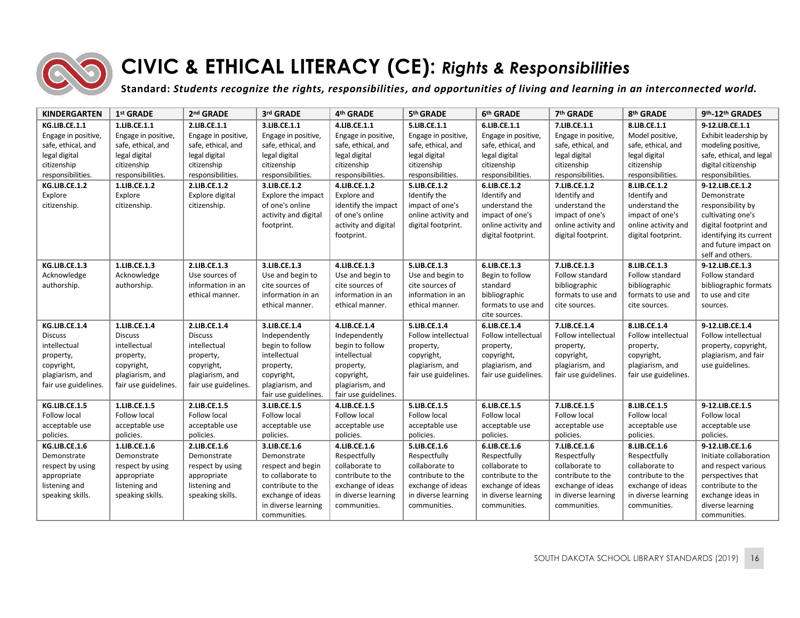

# **CIVIC & ETHICAL LITERACY (CE):** *Rights & Responsibilities*

**Standard:** *Students recognize the rights, responsibilities, and opportunities of living and learning in an interconnected world.*

<span id="page-15-0"></span>

| <b>KINDERGARTEN</b>  | 1 <sup>st</sup> GRADE | 2 <sup>nd</sup> GRADE | 3rd GRADE            | 4 <sup>th</sup> GRADE | 5th GRADE            | 6th GRADE            | 7 <sup>th</sup> GRADE | 8th GRADE            | 9th <sub>-12th</sub> GRADES |
|----------------------|-----------------------|-----------------------|----------------------|-----------------------|----------------------|----------------------|-----------------------|----------------------|-----------------------------|
| KG.LIB.CE.1.1        | 1.LIB.CE.1.1          | 2.LIB.CE.1.1          | 3.LIB.CE.1.1         | 4.LIB.CE.1.1          | 5.LIB.CE.1.1         | 6.LIB.CE.1.1         | 7.LIB.CE.1.1          | 8.LIB.CE.1.1         | 9-12.LIB.CE.1.1             |
| Engage in positive,  | Engage in positive,   | Engage in positive,   | Engage in positive,  | Engage in positive,   | Engage in positive,  | Engage in positive,  | Engage in positive,   | Model positive,      | Exhibit leadership by       |
| safe, ethical, and   | safe, ethical, and    | safe, ethical, and    | safe, ethical, and   | safe, ethical, and    | safe, ethical, and   | safe, ethical, and   | safe, ethical, and    | safe, ethical, and   | modeling positive,          |
| legal digital        | legal digital         | legal digital         | legal digital        | legal digital         | legal digital        | legal digital        | legal digital         | legal digital        | safe, ethical, and legal    |
| citizenship          | citizenship           | citizenship           | citizenship          | citizenship           | citizenship          | citizenship          | citizenship           | citizenship          | digital citizenship         |
| responsibilities.    | responsibilities.     | responsibilities.     | responsibilities.    | responsibilities.     | responsibilities.    | responsibilities.    | responsibilities.     | responsibilities.    | responsibilities.           |
| KG.LIB.CE.1.2        | 1.LIB.CE.1.2          | 2.LIB.CE.1.2          | 3.LIB.CE.1.2         | 4.LIB.CE.1.2          | 5.LIB.CE.1.2         | 6.LIB.CE.1.2         | 7.LIB.CE.1.2          | 8.LIB.CE.1.2         | 9-12.LIB.CE.1.2             |
| Explore              | Explore               | Explore digital       | Explore the impact   | Explore and           | Identify the         | Identify and         | Identify and          | Identify and         | Demonstrate                 |
| citizenship.         | citizenship.          | citizenship.          | of one's online      | identify the impact   | impact of one's      | understand the       | understand the        | understand the       | responsibility by           |
|                      |                       |                       | activity and digital | of one's online       | online activity and  | impact of one's      | impact of one's       | impact of one's      | cultivating one's           |
|                      |                       |                       | footprint.           | activity and digital  | digital footprint.   | online activity and  | online activity and   | online activity and  | digital footprint and       |
|                      |                       |                       |                      | footprint.            |                      | digital footprint.   | digital footprint.    | digital footprint.   | identifying its current     |
|                      |                       |                       |                      |                       |                      |                      |                       |                      | and future impact on        |
|                      |                       |                       |                      |                       |                      |                      |                       |                      | self and others.            |
| KG.LIB.CE.1.3        | 1.LIB.CE.1.3          | 2.LIB.CE.1.3          | 3.LIB.CE.1.3         | 4.LIB.CE.1.3          | 5.LIB.CE.1.3         | 6.LIB.CE.1.3         | 7.LIB.CE.1.3          | 8.LIB.CE.1.3         | 9-12.LIB.CE.1.3             |
| Acknowledge          | Acknowledge           | Use sources of        | Use and begin to     | Use and begin to      | Use and begin to     | Begin to follow      | Follow standard       | Follow standard      | Follow standard             |
| authorship.          | authorship.           | information in an     | cite sources of      | cite sources of       | cite sources of      | standard             | bibliographic         | bibliographic        | bibliographic formats       |
|                      |                       | ethical manner.       | information in an    | information in an     | information in an    | bibliographic        | formats to use and    | formats to use and   | to use and cite             |
|                      |                       |                       | ethical manner.      | ethical manner.       | ethical manner.      | formats to use and   | cite sources.         | cite sources.        | sources.                    |
|                      |                       |                       |                      |                       |                      | cite sources.        |                       |                      |                             |
| KG.LIB.CE.1.4        | 1.LIB.CE.1.4          | 2.LIB.CE.1.4          | 3.LIB.CE.1.4         | 4.LIB.CE.1.4          | 5.LIB.CE.1.4         | 6.LIB.CE.1.4         | 7.LIB.CE.1.4          | 8.LIB.CE.1.4         | 9-12.LIB.CE.1.4             |
| <b>Discuss</b>       | <b>Discuss</b>        | <b>Discuss</b>        | Independently        | Independently         | Follow intellectual  | Follow intellectual  | Follow intellectual   | Follow intellectual  | Follow intellectual         |
| intellectual         | intellectual          | intellectual          | begin to follow      | begin to follow       | property,            | property,            | property,             | property,            | property, copyright,        |
| property,            | property,             | property,             | intellectual         | intellectual          | copyright,           | copyright,           | copyright,            | copyright,           | plagiarism, and fair        |
| copyright,           | copyright,            | copyright,            | property,            | property,             | plagiarism, and      | plagiarism, and      | plagiarism, and       | plagiarism, and      | use guidelines.             |
| plagiarism, and      | plagiarism, and       | plagiarism, and       | copyright,           | copyright,            | fair use guidelines. | fair use guidelines. | fair use guidelines.  | fair use guidelines. |                             |
| fair use guidelines. | fair use guidelines.  | fair use guidelines.  | plagiarism, and      | plagiarism, and       |                      |                      |                       |                      |                             |
|                      |                       |                       | fair use guidelines. | fair use guidelines.  |                      |                      |                       |                      |                             |
| KG.LIB.CE.1.5        | 1.LIB.CE.1.5          | 2.LIB.CE.1.5          | 3.LIB.CE.1.5         | 4.LIB.CE.1.5          | 5.LIB.CE.1.5         | 6.LIB.CE.1.5         | 7.LIB.CE.1.5          | 8.LIB.CE.1.5         | 9-12.LIB.CE.1.5             |
| Follow local         | Follow local          | Follow local          | Follow local         | Follow local          | Follow local         | Follow local         | Follow local          | Follow local         | Follow local                |
| acceptable use       | acceptable use        | acceptable use        | acceptable use       | acceptable use        | acceptable use       | acceptable use       | acceptable use        | acceptable use       | acceptable use              |
| policies.            | policies.             | policies.             | policies.            | policies.             | policies.            | policies.            | policies.             | policies.            | policies.                   |
| KG.LIB.CE.1.6        | 1.LIB.CE.1.6          | 2.LIB.CE.1.6          | 3.LIB.CE.1.6         | 4.LIB.CE.1.6          | 5.LIB.CE.1.6         | 6.LIB.CE.1.6         | 7.LIB.CE.1.6          | 8.LIB.CE.1.6         | 9-12.LIB.CE.1.6             |
| Demonstrate          | Demonstrate           | Demonstrate           | Demonstrate          | Respectfully          | Respectfully         | Respectfully         | Respectfully          | Respectfully         | Initiate collaboration      |
| respect by using     | respect by using      | respect by using      | respect and begin    | collaborate to        | collaborate to       | collaborate to       | collaborate to        | collaborate to       | and respect various         |
| appropriate          | appropriate           | appropriate           | to collaborate to    | contribute to the     | contribute to the    | contribute to the    | contribute to the     | contribute to the    | perspectives that           |
| listening and        | listening and         | listening and         | contribute to the    | exchange of ideas     | exchange of ideas    | exchange of ideas    | exchange of ideas     | exchange of ideas    | contribute to the           |
| speaking skills.     | speaking skills.      | speaking skills.      | exchange of ideas    | in diverse learning   | in diverse learning  | in diverse learning  | in diverse learning   | in diverse learning  | exchange ideas in           |
|                      |                       |                       | in diverse learning  | communities.          | communities.         | communities.         | communities.          | communities.         | diverse learning            |
|                      |                       |                       | communities.         |                       |                      |                      |                       |                      | communities.                |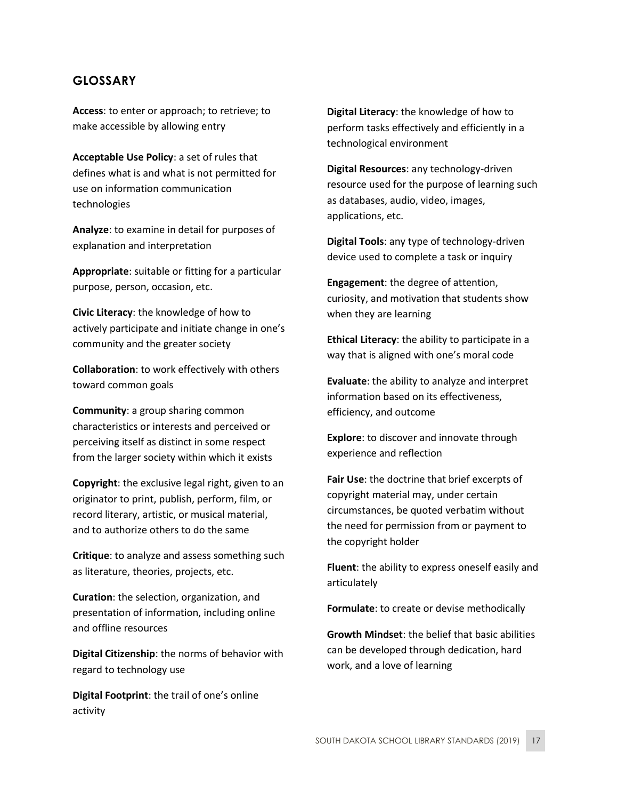### <span id="page-16-0"></span>**GLOSSARY**

**Access**: to enter or approach; to retrieve; to make accessible by allowing entry

**Acceptable Use Policy**: a set of rules that defines what is and what is not permitted for use on information communication technologies

**Analyze**: to examine in detail for purposes of explanation and interpretation

**Appropriate**: suitable or fitting for a particular purpose, person, occasion, etc.

**Civic Literacy**: the knowledge of how to actively participate and initiate change in one's community and the greater society

**Collaboration**: to work effectively with others toward common goals

**Community**: a group sharing common characteristics or interests and perceived or perceiving itself as distinct in some respect from the larger society within which it exists

**Copyright**: the exclusive legal right, given to an originator to print, publish, perform, film, or record literary, artistic, or musical material, and to authorize others to do the same

**Critique**: to analyze and assess something such as literature, theories, projects, etc.

**Curation**: the selection, organization, and presentation of information, including online and offline resources

**Digital Citizenship**: the norms of behavior with regard to technology use

**Digital Footprint**: the trail of one's online activity

**Digital Literacy**: the knowledge of how to perform tasks effectively and efficiently in a technological environment

**Digital Resources**: any technology-driven resource used for the purpose of learning such as databases, audio, video, images, applications, etc.

**Digital Tools**: any type of technology-driven device used to complete a task or inquiry

**Engagement**: the degree of attention, curiosity, and motivation that students show when they are learning

**Ethical Literacy**: the ability to participate in a way that is aligned with one's moral code

**Evaluate**: the ability to analyze and interpret information based on its effectiveness, efficiency, and outcome

**Explore**: to discover and innovate through experience and reflection

**Fair Use**: the doctrine that brief excerpts of copyright material may, under certain circumstances, be quoted verbatim without the need for permission from or payment to the copyright holder

**Fluent**: the ability to express oneself easily and articulately

**Formulate**: to create or devise methodically

**Growth Mindset**: the belief that basic abilities can be developed through dedication, hard work, and a love of learning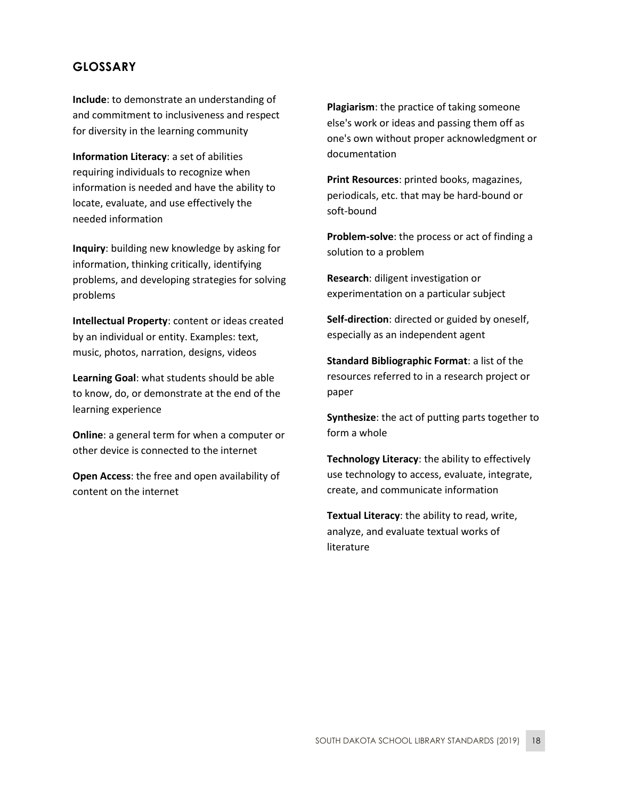### **GLOSSARY**

**Include**: to demonstrate an understanding of and commitment to inclusiveness and respect for diversity in the learning community

**Information Literacy**: a set of abilities requiring individuals to recognize when information is needed and have the ability to locate, evaluate, and use effectively the needed information

**Inquiry**: building new knowledge by asking for information, thinking critically, identifying problems, and developing strategies for solving problems

**Intellectual Property**: content or ideas created by an individual or entity. Examples: text, music, photos, narration, designs, videos

**Learning Goal**: what students should be able to know, do, or demonstrate at the end of the learning experience

**Online**: a general term for when a computer or other device is connected to the internet

**Open Access**: the free and open availability of content on the internet

**Plagiarism**: the practice of taking someone else's work or ideas and passing them off as one's own without proper acknowledgment or documentation

**Print Resources**: printed books, magazines, periodicals, etc. that may be hard-bound or soft-bound

**Problem-solve**: the process or act of finding a solution to a problem

**Research**: diligent investigation or experimentation on a particular subject

**Self-direction**: directed or guided by oneself, especially as an independent agent

**Standard Bibliographic Format**: a list of the resources referred to in a research project or paper

**Synthesize**: the act of putting parts together to form a whole

**Technology Literacy**: the ability to effectively use technology to access, evaluate, integrate, create, and communicate information

**Textual Literacy**: the ability to read, write, analyze, and evaluate textual works of literature